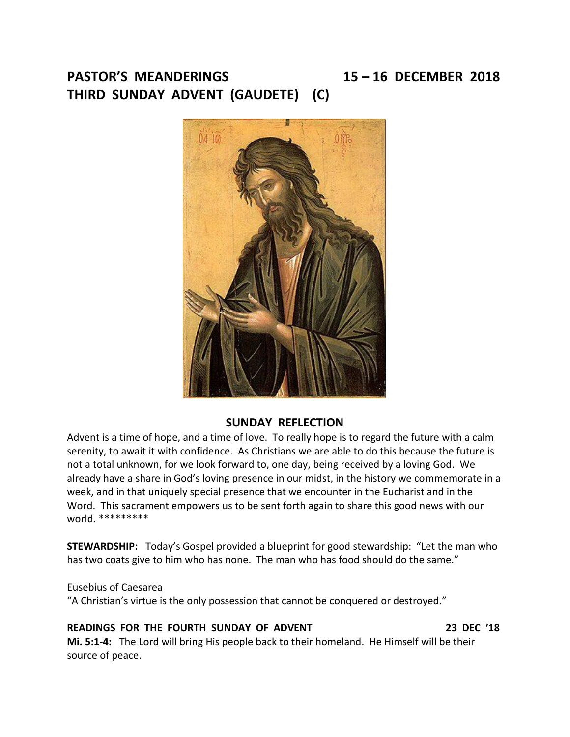# **PASTOR'S MEANDERINGS 15 – 16 DECEMBER 2018 THIRD SUNDAY ADVENT (GAUDETE) (C)**



## **SUNDAY REFLECTION**

Advent is a time of hope, and a time of love. To really hope is to regard the future with a calm serenity, to await it with confidence. As Christians we are able to do this because the future is not a total unknown, for we look forward to, one day, being received by a loving God. We already have a share in God's loving presence in our midst, in the history we commemorate in a week, and in that uniquely special presence that we encounter in the Eucharist and in the Word. This sacrament empowers us to be sent forth again to share this good news with our world. \*\*\*\*\*\*\*\*\*

**STEWARDSHIP:** Today's Gospel provided a blueprint for good stewardship: "Let the man who has two coats give to him who has none. The man who has food should do the same."

Eusebius of Caesarea "A Christian's virtue is the only possession that cannot be conquered or destroyed."

### **READINGS FOR THE FOURTH SUNDAY OF ADVENT 23 DEC '18**

**Mi. 5:1-4:** The Lord will bring His people back to their homeland. He Himself will be their source of peace.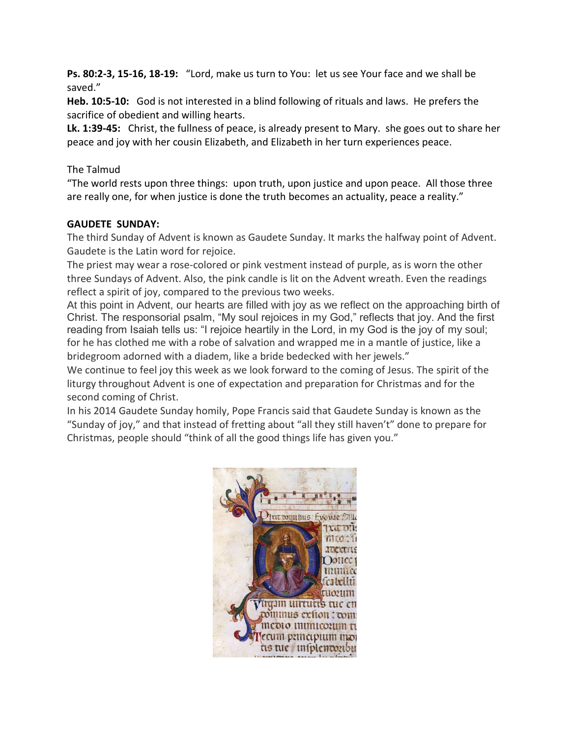**Ps. 80:2-3, 15-16, 18-19:** "Lord, make us turn to You: let us see Your face and we shall be saved."

**Heb. 10:5-10:** God is not interested in a blind following of rituals and laws. He prefers the sacrifice of obedient and willing hearts.

**Lk. 1:39-45:** Christ, the fullness of peace, is already present to Mary. she goes out to share her peace and joy with her cousin Elizabeth, and Elizabeth in her turn experiences peace.

## The Talmud

"The world rests upon three things: upon truth, upon justice and upon peace. All those three are really one, for when justice is done the truth becomes an actuality, peace a reality."

## **GAUDETE SUNDAY:**

The third Sunday of Advent is known as Gaudete Sunday. It marks the halfway point of Advent. Gaudete is the Latin word for rejoice.

The priest may wear a rose-colored or pink vestment instead of purple, as is worn the other three Sundays of Advent. Also, the pink candle is lit on the Advent wreath. Even the readings reflect a spirit of joy, compared to the previous two weeks.

At this point in Advent, our hearts are filled with joy as we reflect on the approaching birth of Christ. The responsorial psalm, "My soul rejoices in my God," reflects that joy. And the first reading from Isaiah tells us: "I rejoice heartily in the Lord, in my God is the joy of my soul; for he has clothed me with a robe of salvation and wrapped me in a mantle of justice, like a bridegroom adorned with a diadem, like a bride bedecked with her jewels."

We continue to feel joy this week as we look forward to the coming of Jesus. The spirit of the liturgy throughout Advent is one of expectation and preparation for Christmas and for the second coming of Christ.

In his 2014 Gaudete Sunday homily, Pope Francis said that Gaudete Sunday is known as the "Sunday of joy," and that instead of fretting about "all they still haven't" done to prepare for Christmas, people should "think of all the good things life has given you."

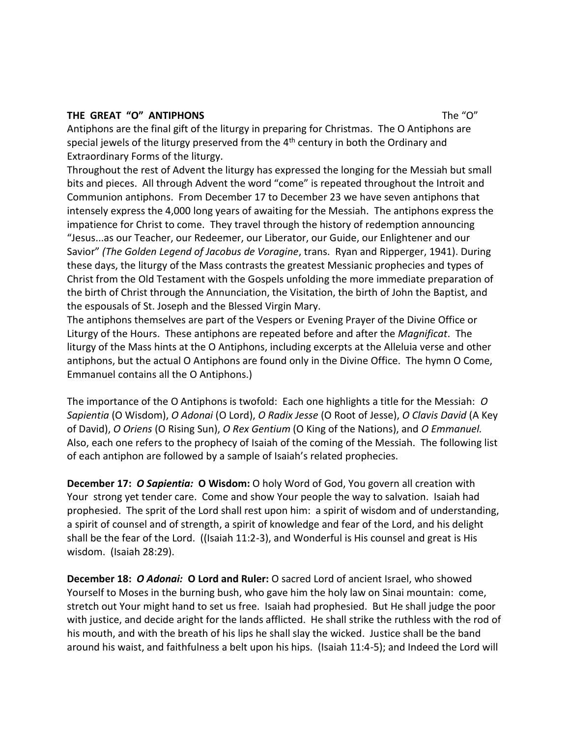#### **THE GREAT "O" ANTIPHONS** The "O"

Antiphons are the final gift of the liturgy in preparing for Christmas. The O Antiphons are special jewels of the liturgy preserved from the 4<sup>th</sup> century in both the Ordinary and Extraordinary Forms of the liturgy.

Throughout the rest of Advent the liturgy has expressed the longing for the Messiah but small bits and pieces. All through Advent the word "come" is repeated throughout the Introit and Communion antiphons. From December 17 to December 23 we have seven antiphons that intensely express the 4,000 long years of awaiting for the Messiah. The antiphons express the impatience for Christ to come. They travel through the history of redemption announcing "Jesus...as our Teacher, our Redeemer, our Liberator, our Guide, our Enlightener and our Savior" *(The Golden Legend of Jacobus de Voragine*, trans. Ryan and Ripperger, 1941). During these days, the liturgy of the Mass contrasts the greatest Messianic prophecies and types of Christ from the Old Testament with the Gospels unfolding the more immediate preparation of the birth of Christ through the Annunciation, the Visitation, the birth of John the Baptist, and the espousals of St. Joseph and the Blessed Virgin Mary.

The antiphons themselves are part of the Vespers or Evening Prayer of the Divine Office or Liturgy of the Hours. These antiphons are repeated before and after the *Magnificat*. The liturgy of the Mass hints at the O Antiphons, including excerpts at the Alleluia verse and other antiphons, but the actual O Antiphons are found only in the Divine Office. The hymn O Come, Emmanuel contains all the O Antiphons.)

The importance of the O Antiphons is twofold: Each one highlights a title for the Messiah: *O Sapientia* (O Wisdom), *O Adonai* (O Lord), *O Radix Jesse* (O Root of Jesse), *O Clavis David* (A Key of David), *O Oriens* (O Rising Sun), *O Rex Gentium* (O King of the Nations), and *O Emmanuel.* Also, each one refers to the prophecy of Isaiah of the coming of the Messiah. The following list of each antiphon are followed by a sample of Isaiah's related prophecies.

**December 17:** *O Sapientia:* **O Wisdom:** O holy Word of God, You govern all creation with Your strong yet tender care. Come and show Your people the way to salvation. Isaiah had prophesied. The sprit of the Lord shall rest upon him: a spirit of wisdom and of understanding, a spirit of counsel and of strength, a spirit of knowledge and fear of the Lord, and his delight shall be the fear of the Lord. ((Isaiah 11:2-3), and Wonderful is His counsel and great is His wisdom. (Isaiah 28:29).

**December 18:** *O Adonai:* **O Lord and Ruler:** O sacred Lord of ancient Israel, who showed Yourself to Moses in the burning bush, who gave him the holy law on Sinai mountain: come, stretch out Your might hand to set us free. Isaiah had prophesied. But He shall judge the poor with justice, and decide aright for the lands afflicted. He shall strike the ruthless with the rod of his mouth, and with the breath of his lips he shall slay the wicked. Justice shall be the band around his waist, and faithfulness a belt upon his hips. (Isaiah 11:4-5); and Indeed the Lord will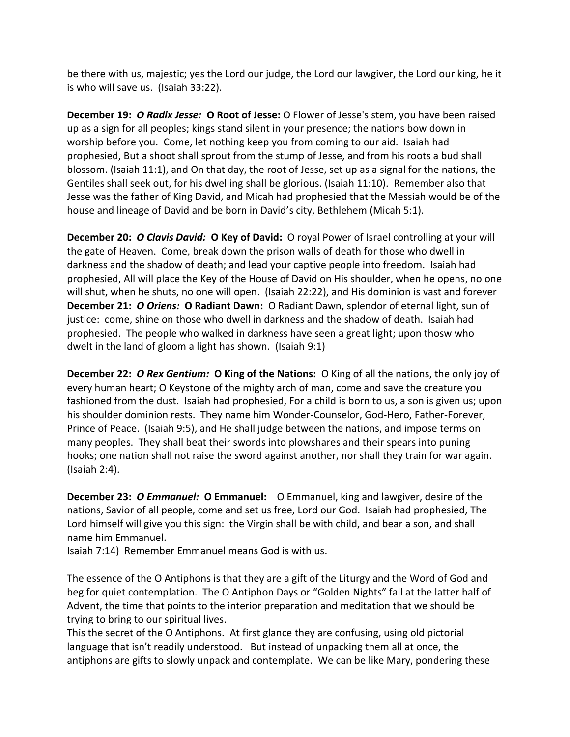be there with us, majestic; yes the Lord our judge, the Lord our lawgiver, the Lord our king, he it is who will save us. (Isaiah 33:22).

**December 19:** *O Radix Jesse:* **O Root of Jesse:** O Flower of Jesse's stem, you have been raised up as a sign for all peoples; kings stand silent in your presence; the nations bow down in worship before you. Come, let nothing keep you from coming to our aid. Isaiah had prophesied, But a shoot shall sprout from the stump of Jesse, and from his roots a bud shall blossom. (Isaiah 11:1), and On that day, the root of Jesse, set up as a signal for the nations, the Gentiles shall seek out, for his dwelling shall be glorious. (Isaiah 11:10). Remember also that Jesse was the father of King David, and Micah had prophesied that the Messiah would be of the house and lineage of David and be born in David's city, Bethlehem (Micah 5:1).

**December 20:** *O Clavis David:* **O Key of David:** O royal Power of Israel controlling at your will the gate of Heaven. Come, break down the prison walls of death for those who dwell in darkness and the shadow of death; and lead your captive people into freedom. Isaiah had prophesied, All will place the Key of the House of David on His shoulder, when he opens, no one will shut, when he shuts, no one will open. (Isaiah 22:22), and His dominion is vast and forever **December 21:** *O Oriens:* **O Radiant Dawn:** O Radiant Dawn, splendor of eternal light, sun of justice: come, shine on those who dwell in darkness and the shadow of death. Isaiah had prophesied. The people who walked in darkness have seen a great light; upon thosw who dwelt in the land of gloom a light has shown. (Isaiah 9:1)

**December 22:** *O Rex Gentium:* **O King of the Nations:** O King of all the nations, the only joy of every human heart; O Keystone of the mighty arch of man, come and save the creature you fashioned from the dust. Isaiah had prophesied, For a child is born to us, a son is given us; upon his shoulder dominion rests. They name him Wonder-Counselor, God-Hero, Father-Forever, Prince of Peace. (Isaiah 9:5), and He shall judge between the nations, and impose terms on many peoples. They shall beat their swords into plowshares and their spears into puning hooks; one nation shall not raise the sword against another, nor shall they train for war again. (Isaiah 2:4).

**December 23:** *O Emmanuel:* **O Emmanuel:** O Emmanuel, king and lawgiver, desire of the nations, Savior of all people, come and set us free, Lord our God. Isaiah had prophesied, The Lord himself will give you this sign: the Virgin shall be with child, and bear a son, and shall name him Emmanuel.

Isaiah 7:14) Remember Emmanuel means God is with us.

The essence of the O Antiphons is that they are a gift of the Liturgy and the Word of God and beg for quiet contemplation. The O Antiphon Days or "Golden Nights" fall at the latter half of Advent, the time that points to the interior preparation and meditation that we should be trying to bring to our spiritual lives.

This the secret of the O Antiphons. At first glance they are confusing, using old pictorial language that isn't readily understood. But instead of unpacking them all at once, the antiphons are gifts to slowly unpack and contemplate. We can be like Mary, pondering these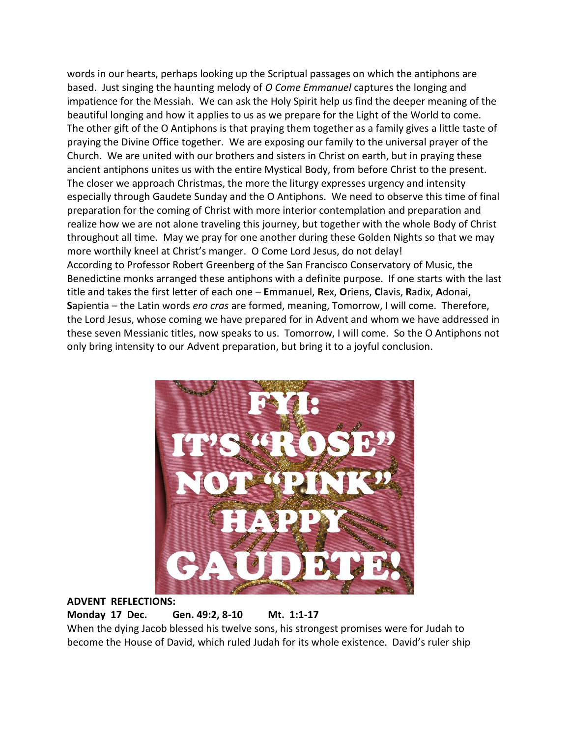words in our hearts, perhaps looking up the Scriptual passages on which the antiphons are based. Just singing the haunting melody of *O Come Emmanuel* captures the longing and impatience for the Messiah. We can ask the Holy Spirit help us find the deeper meaning of the beautiful longing and how it applies to us as we prepare for the Light of the World to come. The other gift of the O Antiphons is that praying them together as a family gives a little taste of praying the Divine Office together. We are exposing our family to the universal prayer of the Church. We are united with our brothers and sisters in Christ on earth, but in praying these ancient antiphons unites us with the entire Mystical Body, from before Christ to the present. The closer we approach Christmas, the more the liturgy expresses urgency and intensity especially through Gaudete Sunday and the O Antiphons. We need to observe this time of final preparation for the coming of Christ with more interior contemplation and preparation and realize how we are not alone traveling this journey, but together with the whole Body of Christ throughout all time. May we pray for one another during these Golden Nights so that we may more worthily kneel at Christ's manger. O Come Lord Jesus, do not delay! According to Professor Robert Greenberg of the San Francisco Conservatory of Music, the Benedictine monks arranged these antiphons with a definite purpose. If one starts with the last title and takes the first letter of each one – **E**mmanuel, **R**ex, **O**riens, **C**lavis, **R**adix, **A**donai, **S**apientia – the Latin words *ero cras* are formed, meaning, Tomorrow, I will come. Therefore, the Lord Jesus, whose coming we have prepared for in Advent and whom we have addressed in these seven Messianic titles, now speaks to us. Tomorrow, I will come. So the O Antiphons not only bring intensity to our Advent preparation, but bring it to a joyful conclusion.



#### **ADVENT REFLECTIONS: Monday 17 Dec. Gen. 49:2, 8-10 Mt. 1:1-17** When the dying Jacob blessed his twelve sons, his strongest promises were for Judah to become the House of David, which ruled Judah for its whole existence. David's ruler ship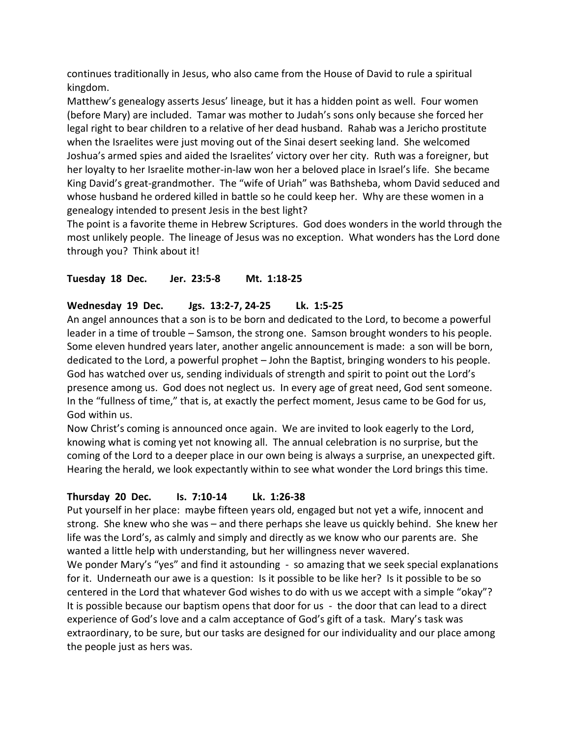continues traditionally in Jesus, who also came from the House of David to rule a spiritual kingdom.

Matthew's genealogy asserts Jesus' lineage, but it has a hidden point as well. Four women (before Mary) are included. Tamar was mother to Judah's sons only because she forced her legal right to bear children to a relative of her dead husband. Rahab was a Jericho prostitute when the Israelites were just moving out of the Sinai desert seeking land. She welcomed Joshua's armed spies and aided the Israelites' victory over her city. Ruth was a foreigner, but her loyalty to her Israelite mother-in-law won her a beloved place in Israel's life. She became King David's great-grandmother. The "wife of Uriah" was Bathsheba, whom David seduced and whose husband he ordered killed in battle so he could keep her. Why are these women in a genealogy intended to present Jesis in the best light?

The point is a favorite theme in Hebrew Scriptures. God does wonders in the world through the most unlikely people. The lineage of Jesus was no exception. What wonders has the Lord done through you? Think about it!

### **Tuesday 18 Dec. Jer. 23:5-8 Mt. 1:18-25**

## **Wednesday 19 Dec. Jgs. 13:2-7, 24-25 Lk. 1:5-25**

An angel announces that a son is to be born and dedicated to the Lord, to become a powerful leader in a time of trouble – Samson, the strong one. Samson brought wonders to his people. Some eleven hundred years later, another angelic announcement is made: a son will be born, dedicated to the Lord, a powerful prophet – John the Baptist, bringing wonders to his people. God has watched over us, sending individuals of strength and spirit to point out the Lord's presence among us. God does not neglect us. In every age of great need, God sent someone. In the "fullness of time," that is, at exactly the perfect moment, Jesus came to be God for us, God within us.

Now Christ's coming is announced once again. We are invited to look eagerly to the Lord, knowing what is coming yet not knowing all. The annual celebration is no surprise, but the coming of the Lord to a deeper place in our own being is always a surprise, an unexpected gift. Hearing the herald, we look expectantly within to see what wonder the Lord brings this time.

### **Thursday 20 Dec. Is. 7:10-14 Lk. 1:26-38**

Put yourself in her place: maybe fifteen years old, engaged but not yet a wife, innocent and strong. She knew who she was – and there perhaps she leave us quickly behind. She knew her life was the Lord's, as calmly and simply and directly as we know who our parents are. She wanted a little help with understanding, but her willingness never wavered.

We ponder Mary's "yes" and find it astounding - so amazing that we seek special explanations for it. Underneath our awe is a question: Is it possible to be like her? Is it possible to be so centered in the Lord that whatever God wishes to do with us we accept with a simple "okay"? It is possible because our baptism opens that door for us - the door that can lead to a direct experience of God's love and a calm acceptance of God's gift of a task. Mary's task was extraordinary, to be sure, but our tasks are designed for our individuality and our place among the people just as hers was.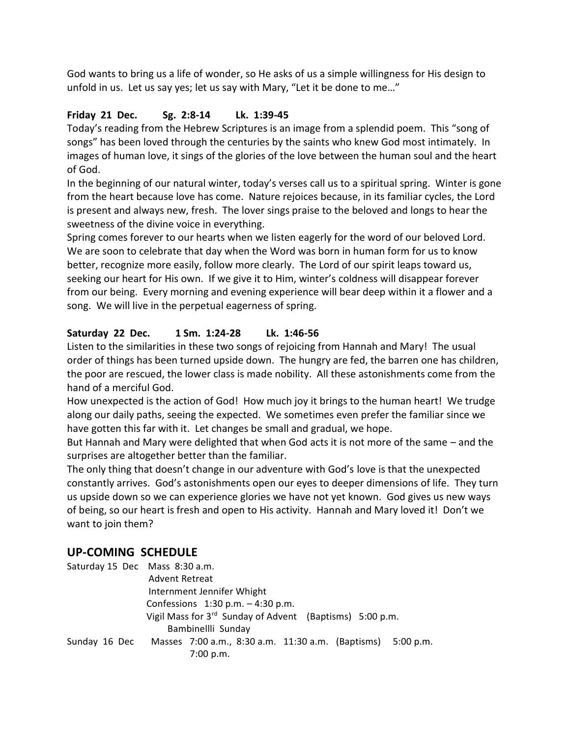God wants to bring us a life of wonder, so He asks of us a simple willingness for His design to unfold in us. Let us say yes; let us say with Mary, "Let it be done to me…"

## **Friday 21 Dec. Sg. 2:8-14 Lk. 1:39-45**

Today's reading from the Hebrew Scriptures is an image from a splendid poem. This "song of songs" has been loved through the centuries by the saints who knew God most intimately. In images of human love, it sings of the glories of the love between the human soul and the heart of God.

In the beginning of our natural winter, today's verses call us to a spiritual spring. Winter is gone from the heart because love has come. Nature rejoices because, in its familiar cycles, the Lord is present and always new, fresh. The lover sings praise to the beloved and longs to hear the sweetness of the divine voice in everything.

Spring comes forever to our hearts when we listen eagerly for the word of our beloved Lord. We are soon to celebrate that day when the Word was born in human form for us to know better, recognize more easily, follow more clearly. The Lord of our spirit leaps toward us, seeking our heart for His own. If we give it to Him, winter's coldness will disappear forever from our being. Every morning and evening experience will bear deep within it a flower and a song. We will live in the perpetual eagerness of spring.

## **Saturday 22 Dec. 1 Sm. 1:24-28 Lk. 1:46-56**

Listen to the similarities in these two songs of rejoicing from Hannah and Mary! The usual order of things has been turned upside down. The hungry are fed, the barren one has children, the poor are rescued, the lower class is made nobility. All these astonishments come from the hand of a merciful God.

How unexpected is the action of God! How much joy it brings to the human heart! We trudge along our daily paths, seeing the expected. We sometimes even prefer the familiar since we have gotten this far with it. Let changes be small and gradual, we hope.

But Hannah and Mary were delighted that when God acts it is not more of the same – and the surprises are altogether better than the familiar.

The only thing that doesn't change in our adventure with God's love is that the unexpected constantly arrives. God's astonishments open our eyes to deeper dimensions of life. They turn us upside down so we can experience glories we have not yet known. God gives us new ways of being, so our heart is fresh and open to His activity. Hannah and Mary loved it! Don't we want to join them?

## **UP-COMING SCHEDULE**

| Saturday 15 Dec Mass 8:30 a.m. | <b>Advent Retreat</b>                                                |
|--------------------------------|----------------------------------------------------------------------|
|                                | Internment Jennifer Whight                                           |
|                                | Confessions $1:30$ p.m. $-4:30$ p.m.                                 |
|                                | Vigil Mass for 3 <sup>rd</sup> Sunday of Advent (Baptisms) 5:00 p.m. |
|                                | Bambinellli Sunday                                                   |
| Sunday 16 Dec                  | Masses 7:00 a.m., 8:30 a.m. 11:30 a.m. (Baptisms)<br>5:00 p.m.       |
|                                | 7:00 p.m.                                                            |